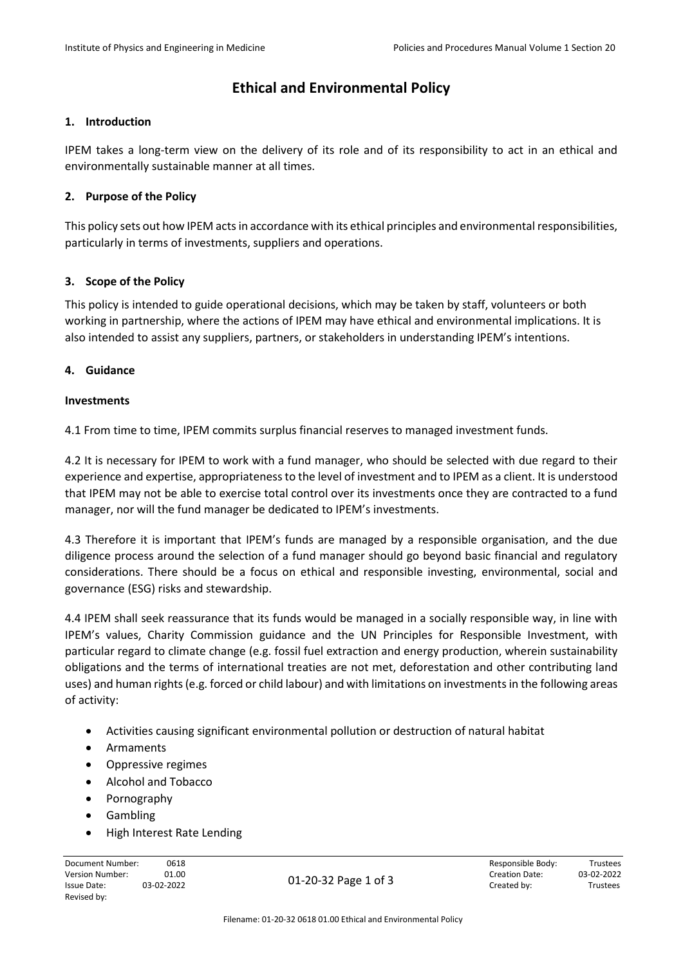# **Ethical and Environmental Policy**

## **1. Introduction**

IPEM takes a long-term view on the delivery of its role and of its responsibility to act in an ethical and environmentally sustainable manner at all times.

# **2. Purpose of the Policy**

This policy sets out how IPEM acts in accordance with its ethical principles and environmental responsibilities, particularly in terms of investments, suppliers and operations.

# **3. Scope of the Policy**

This policy is intended to guide operational decisions, which may be taken by staff, volunteers or both working in partnership, where the actions of IPEM may have ethical and environmental implications. It is also intended to assist any suppliers, partners, or stakeholders in understanding IPEM's intentions.

# **4. Guidance**

## **Investments**

4.1 From time to time, IPEM commits surplus financial reserves to managed investment funds.

4.2 It is necessary for IPEM to work with a fund manager, who should be selected with due regard to their experience and expertise, appropriateness to the level of investment and to IPEM as a client. It is understood that IPEM may not be able to exercise total control over its investments once they are contracted to a fund manager, nor will the fund manager be dedicated to IPEM's investments.

4.3 Therefore it is important that IPEM's funds are managed by a responsible organisation, and the due diligence process around the selection of a fund manager should go beyond basic financial and regulatory considerations. There should be a focus on ethical and responsible investing, environmental, social and governance (ESG) risks and stewardship.

4.4 IPEM shall seek reassurance that its funds would be managed in a socially responsible way, in line with IPEM's values, Charity Commission guidance and the UN Principles for Responsible Investment, with particular regard to climate change (e.g. fossil fuel extraction and energy production, wherein sustainability obligations and the terms of international treaties are not met, deforestation and other contributing land uses) and human rights (e.g. forced or child labour) and with limitations on investments in the following areas of activity:

- Activities causing significant environmental pollution or destruction of natural habitat
- Armaments
- Oppressive regimes
- Alcohol and Tobacco
- Pornography
- Gambling
- High Interest Rate Lending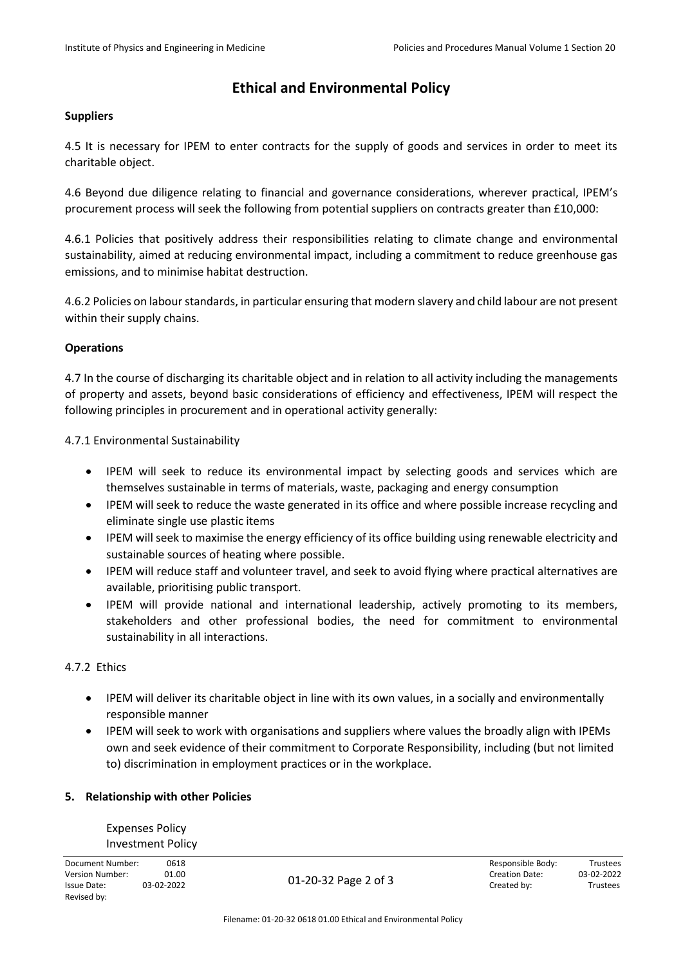# **Ethical and Environmental Policy**

### **Suppliers**

4.5 It is necessary for IPEM to enter contracts for the supply of goods and services in order to meet its charitable object.

4.6 Beyond due diligence relating to financial and governance considerations, wherever practical, IPEM's procurement process will seek the following from potential suppliers on contracts greater than £10,000:

4.6.1 Policies that positively address their responsibilities relating to climate change and environmental sustainability, aimed at reducing environmental impact, including a commitment to reduce greenhouse gas emissions, and to minimise habitat destruction.

4.6.2 Policies on labour standards, in particular ensuring that modern slavery and child labour are not present within their supply chains.

## **Operations**

4.7 In the course of discharging its charitable object and in relation to all activity including the managements of property and assets, beyond basic considerations of efficiency and effectiveness, IPEM will respect the following principles in procurement and in operational activity generally:

4.7.1 Environmental Sustainability

- IPEM will seek to reduce its environmental impact by selecting goods and services which are themselves sustainable in terms of materials, waste, packaging and energy consumption
- IPEM will seek to reduce the waste generated in its office and where possible increase recycling and eliminate single use plastic items
- IPEM will seek to maximise the energy efficiency of its office building using renewable electricity and sustainable sources of heating where possible.
- IPEM will reduce staff and volunteer travel, and seek to avoid flying where practical alternatives are available, prioritising public transport.
- IPEM will provide national and international leadership, actively promoting to its members, stakeholders and other professional bodies, the need for commitment to environmental sustainability in all interactions.

#### 4.7.2 Ethics

- IPEM will deliver its charitable object in line with its own values, in a socially and environmentally responsible manner
- IPEM will seek to work with organisations and suppliers where values the broadly align with IPEMs own and seek evidence of their commitment to Corporate Responsibility, including (but not limited to) discrimination in employment practices or in the workplace.

### **5. Relationship with other Policies**

Expenses Policy Investment Policy

Document Number: 0618 Responsible Body: Trustees Revised by:

01-20-32 Page 2 of 3